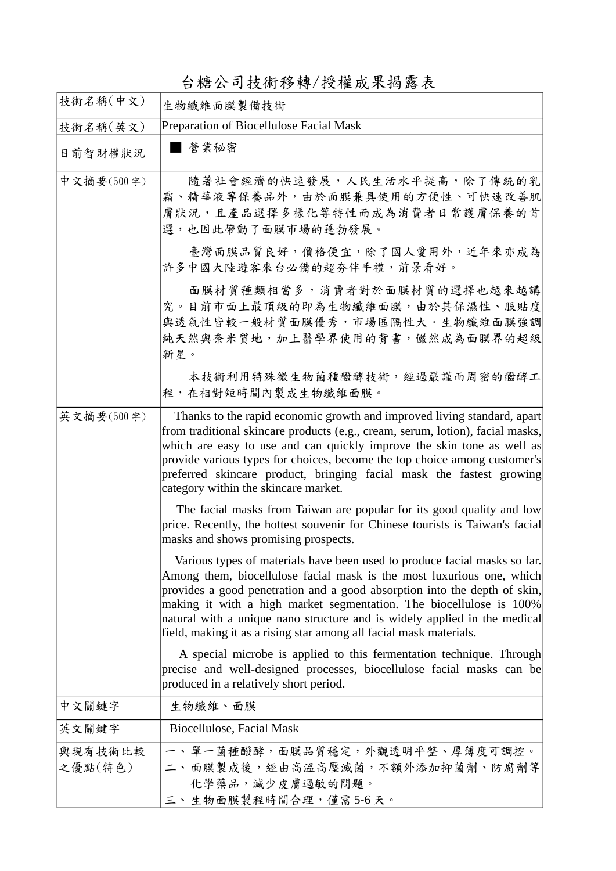台糖公司技術移轉/授權成果揭露表

| 技術名稱(中文)           | 生物纖維面膜製備技術                                                                                                                                                                                                                                                                                                                                                                                                                                                |
|--------------------|-----------------------------------------------------------------------------------------------------------------------------------------------------------------------------------------------------------------------------------------------------------------------------------------------------------------------------------------------------------------------------------------------------------------------------------------------------------|
| 技術名稱(英文)           | Preparation of Biocellulose Facial Mask                                                                                                                                                                                                                                                                                                                                                                                                                   |
| 目前智財權狀況            | ■ 營業秘密                                                                                                                                                                                                                                                                                                                                                                                                                                                    |
| 中文摘要(500字)         | 隨著社會經濟的快速發展,人民生活水平提高,除了傳統的乳<br>霜、精華液等保養品外,由於面膜兼具使用的方便性、可快速改善肌<br>膚狀況,且產品選擇多樣化等特性而成為消費者日常護膚保養的首<br>選,也因此帶動了面膜市場的蓬勃發展。                                                                                                                                                                                                                                                                                                                                      |
|                    | 臺灣面膜品質良好,價格便宜,除了國人愛用外,近年來亦成為<br>許多中國大陸遊客來台必備的超夯伴手禮,前景看好。                                                                                                                                                                                                                                                                                                                                                                                                  |
|                    | 面膜材質種類相當多,消費者對於面膜材質的選擇也越來越講<br>究。目前市面上最頂級的即為生物纖維面膜,由於其保濕性、服貼度<br>與透氣性皆較一般材質面膜優秀,市場區隔性大。生物纖維面膜強調<br>純天然與奈米質地,加上醫學界使用的背書,儼然成為面膜界的超級<br>新星。                                                                                                                                                                                                                                                                                                                  |
|                    | 本技術利用特殊微生物菌種醱酵技術,經過嚴謹而周密的醱酵工<br>程,在相對短時間內製成生物纖維面膜。                                                                                                                                                                                                                                                                                                                                                                                                        |
| 英文摘要(500字)         | Thanks to the rapid economic growth and improved living standard, apart<br>from traditional skincare products (e.g., cream, serum, lotion), facial masks,<br>which are easy to use and can quickly improve the skin tone as well as<br>provide various types for choices, become the top choice among customer's<br>preferred skincare product, bringing facial mask the fastest growing<br>category within the skincare market.                          |
|                    | The facial masks from Taiwan are popular for its good quality and low<br>price. Recently, the hottest souvenir for Chinese tourists is Taiwan's facial<br>masks and shows promising prospects.                                                                                                                                                                                                                                                            |
|                    | Various types of materials have been used to produce facial masks so far.<br>Among them, biocellulose facial mask is the most luxurious one, which<br>provides a good penetration and a good absorption into the depth of skin,<br>making it with a high market segmentation. The biocellulose is 100%<br>natural with a unique nano structure and is widely applied in the medical<br>field, making it as a rising star among all facial mask materials. |
|                    | A special microbe is applied to this fermentation technique. Through<br>precise and well-designed processes, biocellulose facial masks can be<br>produced in a relatively short period.                                                                                                                                                                                                                                                                   |
| 中文關鍵字              | 生物纖維、面膜                                                                                                                                                                                                                                                                                                                                                                                                                                                   |
| 英文關鍵字              | Biocellulose, Facial Mask                                                                                                                                                                                                                                                                                                                                                                                                                                 |
| 與現有技術比較<br>之優點(特色) | 一、單一菌種醱酵,面膜品質穩定,外觀透明平整、厚薄度可調控。<br>二、面膜製成後,經由高溫高壓減菌,不額外添加抑菌劑、防腐劑等<br>化學藥品,減少皮膚過敏的問題。<br>三、生物面膜製程時間合理,僅需5-6天。                                                                                                                                                                                                                                                                                                                                               |